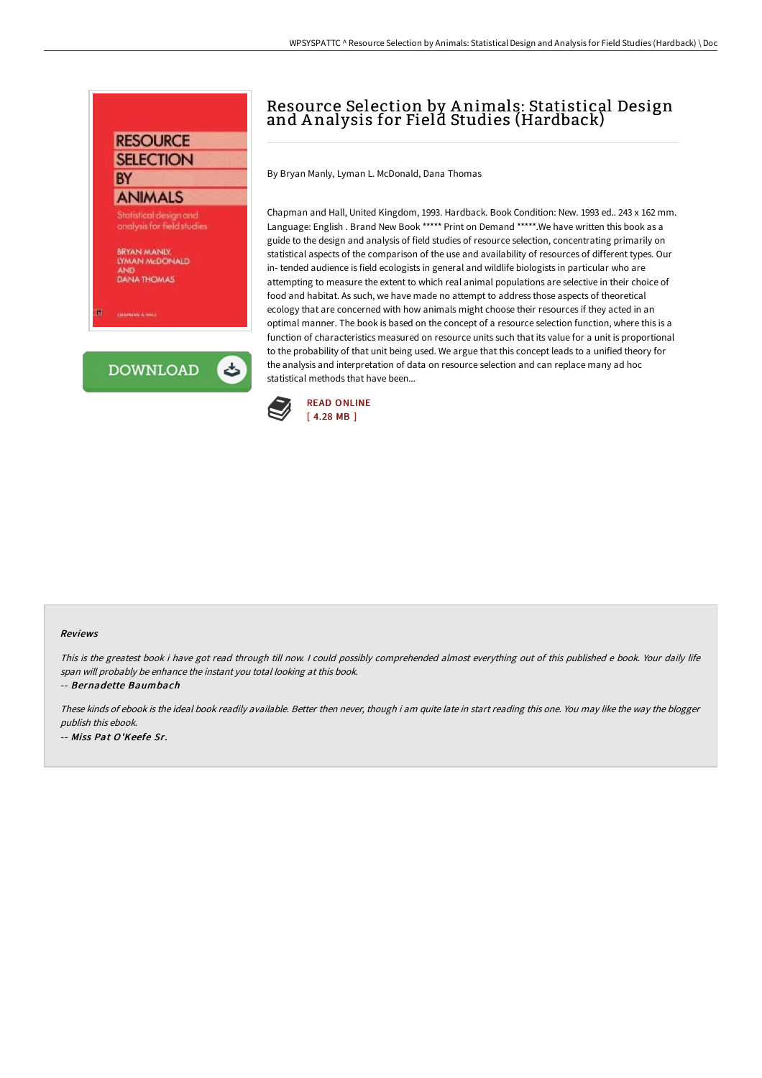### **RESOURCE SELECTION BY**

# **ANIMALS**

Statistical design and analysis for field studies

BRYAN MANUY, **LYMAN McDONALD DANA THOMAS** 

**President allege** 

**DOWNLOAD** 

ٹ

## Resource Selection by A nimals: Statistical Design and A nalysis for Field Studies (Hardback)

By Bryan Manly, Lyman L. McDonald, Dana Thomas

Chapman and Hall, United Kingdom, 1993. Hardback. Book Condition: New. 1993 ed.. 243 x 162 mm. Language: English . Brand New Book \*\*\*\*\* Print on Demand \*\*\*\*\*. We have written this book as a guide to the design and analysis of field studies of resource selection, concentrating primarily on statistical aspects of the comparison of the use and availability of resources of different types. Our in- tended audience is field ecologists in general and wildlife biologists in particular who are attempting to measure the extent to which real animal populations are selective in their choice of food and habitat. As such, we have made no attempt to address those aspects of theoretical ecology that are concerned with how animals might choose their resources if they acted in an optimal manner. The book is based on the concept of a resource selection function, where this is a function of characteristics measured on resource units such that its value for a unit is proportional to the probability of that unit being used. We argue that this concept leads to a unified theory for the analysis and interpretation of data on resource selection and can replace many ad hoc statistical methods that have been...



#### Reviews

This is the greatest book i have got read through till now. <sup>I</sup> could possibly comprehended almost everything out of this published <sup>e</sup> book. Your daily life span will probably be enhance the instant you total looking at this book.

-- Bernadette Baumbach

These kinds of ebook is the ideal book readily available. Better then never, though i am quite late in start reading this one. You may like the way the blogger publish this ebook. -- Miss Pat O'Keefe Sr.